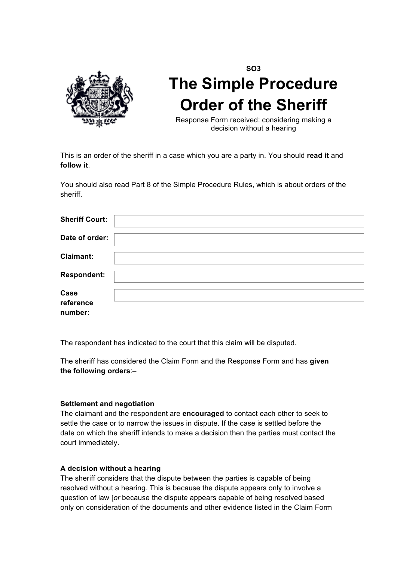

# **SO3 The Simple Procedure Order of the Sheriff**

Response Form received: considering making a decision without a hearing

This is an order of the sheriff in a case which you are a party in. You should **read it** and **follow it**.

You should also read Part 8 of the Simple Procedure Rules, which is about orders of the sheriff.

| <b>Sheriff Court:</b>        |  |
|------------------------------|--|
| Date of order:               |  |
| <b>Claimant:</b>             |  |
| <b>Respondent:</b>           |  |
| Case<br>reference<br>number: |  |

The respondent has indicated to the court that this claim will be disputed.

The sheriff has considered the Claim Form and the Response Form and has **given the following orders**:–

### **Settlement and negotiation**

The claimant and the respondent are **encouraged** to contact each other to seek to settle the case or to narrow the issues in dispute. If the case is settled before the date on which the sheriff intends to make a decision then the parties must contact the court immediately.

### **A decision without a hearing**

The sheriff considers that the dispute between the parties is capable of being resolved without a hearing. This is because the dispute appears only to involve a question of law [*or* because the dispute appears capable of being resolved based only on consideration of the documents and other evidence listed in the Claim Form